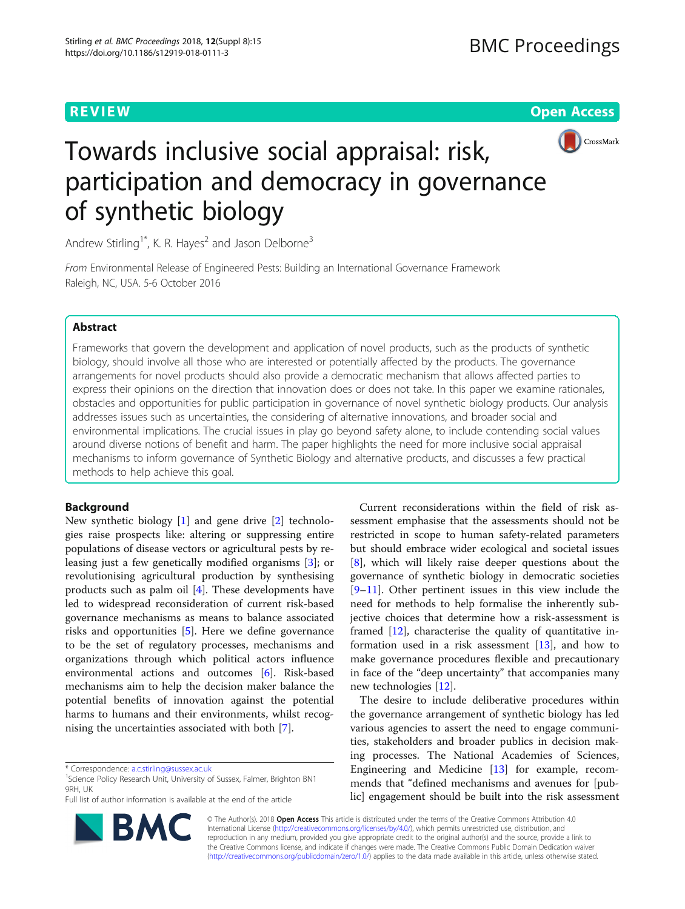**REVIEW CONSIDERING CONSIDERING CONSIDERING CONSIDERING CONSIDERING CONSIDERING CONSIDERING CONSIDERING CONSIDERING CONSIDERING CONSIDERING CONSIDERING CONSIDERING CONSIDERING CONSIDERING CONSIDERING CONSIDERING CONSIDER** 



# Towards inclusive social appraisal: risk, participation and democracy in governance of synthetic biology

Andrew Stirling<sup>1\*</sup>, K. R. Hayes<sup>2</sup> and Jason Delborne<sup>3</sup>

From Environmental Release of Engineered Pests: Building an International Governance Framework Raleigh, NC, USA. 5-6 October 2016

# Abstract

Frameworks that govern the development and application of novel products, such as the products of synthetic biology, should involve all those who are interested or potentially affected by the products. The governance arrangements for novel products should also provide a democratic mechanism that allows affected parties to express their opinions on the direction that innovation does or does not take. In this paper we examine rationales, obstacles and opportunities for public participation in governance of novel synthetic biology products. Our analysis addresses issues such as uncertainties, the considering of alternative innovations, and broader social and environmental implications. The crucial issues in play go beyond safety alone, to include contending social values around diverse notions of benefit and harm. The paper highlights the need for more inclusive social appraisal mechanisms to inform governance of Synthetic Biology and alternative products, and discusses a few practical methods to help achieve this goal.

# Background

New synthetic biology [\[1](#page-7-0)] and gene drive [\[2](#page-7-0)] technologies raise prospects like: altering or suppressing entire populations of disease vectors or agricultural pests by releasing just a few genetically modified organisms [[3\]](#page-7-0); or revolutionising agricultural production by synthesising products such as palm oil [[4\]](#page-7-0). These developments have led to widespread reconsideration of current risk-based governance mechanisms as means to balance associated risks and opportunities [[5\]](#page-7-0). Here we define governance to be the set of regulatory processes, mechanisms and organizations through which political actors influence environmental actions and outcomes [[6\]](#page-7-0). Risk-based mechanisms aim to help the decision maker balance the potential benefits of innovation against the potential harms to humans and their environments, whilst recognising the uncertainties associated with both [\[7](#page-7-0)].

Full list of author information is available at the end of the article



Current reconsiderations within the field of risk assessment emphasise that the assessments should not be restricted in scope to human safety-related parameters but should embrace wider ecological and societal issues [[8\]](#page-7-0), which will likely raise deeper questions about the governance of synthetic biology in democratic societies [[9](#page-7-0)–[11\]](#page-7-0). Other pertinent issues in this view include the need for methods to help formalise the inherently subjective choices that determine how a risk-assessment is framed [[12\]](#page-7-0), characterise the quality of quantitative information used in a risk assessment [\[13](#page-7-0)], and how to make governance procedures flexible and precautionary in face of the "deep uncertainty" that accompanies many new technologies [\[12](#page-7-0)].

The desire to include deliberative procedures within the governance arrangement of synthetic biology has led various agencies to assert the need to engage communities, stakeholders and broader publics in decision making processes. The National Academies of Sciences, Engineering and Medicine [\[13\]](#page-7-0) for example, recommends that "defined mechanisms and avenues for [public] engagement should be built into the risk assessment

© The Author(s). 2018 Open Access This article is distributed under the terms of the Creative Commons Attribution 4.0 International License [\(http://creativecommons.org/licenses/by/4.0/](http://creativecommons.org/licenses/by/4.0/)), which permits unrestricted use, distribution, and reproduction in any medium, provided you give appropriate credit to the original author(s) and the source, provide a link to the Creative Commons license, and indicate if changes were made. The Creative Commons Public Domain Dedication waiver [\(http://creativecommons.org/publicdomain/zero/1.0/](http://creativecommons.org/publicdomain/zero/1.0/)) applies to the data made available in this article, unless otherwise stated.

<sup>\*</sup> Correspondence: [a.c.stirling@sussex.ac.uk](mailto:a.c.stirling@sussex.ac.uk) <sup>1</sup>

<sup>&</sup>lt;sup>1</sup>Science Policy Research Unit, University of Sussex, Falmer, Brighton BN1 9RH, UK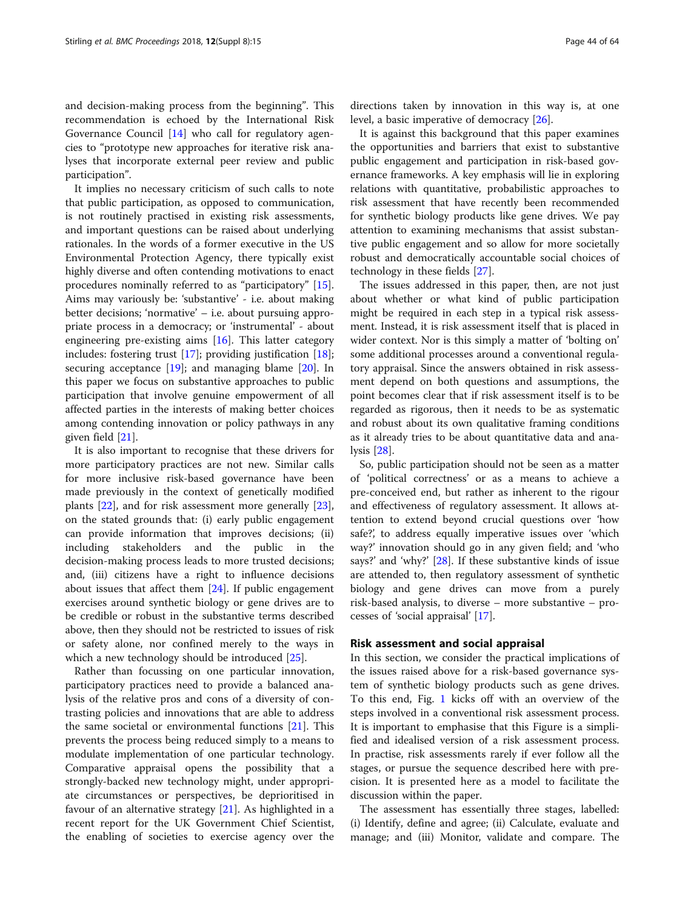and decision-making process from the beginning". This recommendation is echoed by the International Risk Governance Council [\[14](#page-7-0)] who call for regulatory agencies to "prototype new approaches for iterative risk analyses that incorporate external peer review and public participation".

It implies no necessary criticism of such calls to note that public participation, as opposed to communication, is not routinely practised in existing risk assessments, and important questions can be raised about underlying rationales. In the words of a former executive in the US Environmental Protection Agency, there typically exist highly diverse and often contending motivations to enact procedures nominally referred to as "participatory" [\[15](#page-7-0)]. Aims may variously be: 'substantive' - i.e. about making better decisions; 'normative' – i.e. about pursuing appropriate process in a democracy; or 'instrumental' - about engineering pre-existing aims [\[16](#page-7-0)]. This latter category includes: fostering trust [\[17](#page-7-0)]; providing justification [\[18](#page-7-0)]; securing acceptance [\[19](#page-7-0)]; and managing blame [\[20](#page-7-0)]. In this paper we focus on substantive approaches to public participation that involve genuine empowerment of all affected parties in the interests of making better choices among contending innovation or policy pathways in any given field [[21\]](#page-7-0).

It is also important to recognise that these drivers for more participatory practices are not new. Similar calls for more inclusive risk-based governance have been made previously in the context of genetically modified plants [[22\]](#page-7-0), and for risk assessment more generally [\[23](#page-7-0)], on the stated grounds that: (i) early public engagement can provide information that improves decisions; (ii) including stakeholders and the public in the decision-making process leads to more trusted decisions; and, (iii) citizens have a right to influence decisions about issues that affect them [\[24\]](#page-7-0). If public engagement exercises around synthetic biology or gene drives are to be credible or robust in the substantive terms described above, then they should not be restricted to issues of risk or safety alone, nor confined merely to the ways in which a new technology should be introduced [[25\]](#page-7-0).

Rather than focussing on one particular innovation, participatory practices need to provide a balanced analysis of the relative pros and cons of a diversity of contrasting policies and innovations that are able to address the same societal or environmental functions [\[21](#page-7-0)]. This prevents the process being reduced simply to a means to modulate implementation of one particular technology. Comparative appraisal opens the possibility that a strongly-backed new technology might, under appropriate circumstances or perspectives, be deprioritised in favour of an alternative strategy [[21](#page-7-0)]. As highlighted in a recent report for the UK Government Chief Scientist, the enabling of societies to exercise agency over the

directions taken by innovation in this way is, at one level, a basic imperative of democracy [\[26\]](#page-7-0).

It is against this background that this paper examines the opportunities and barriers that exist to substantive public engagement and participation in risk-based governance frameworks. A key emphasis will lie in exploring relations with quantitative, probabilistic approaches to risk assessment that have recently been recommended for synthetic biology products like gene drives. We pay attention to examining mechanisms that assist substantive public engagement and so allow for more societally robust and democratically accountable social choices of technology in these fields [[27\]](#page-7-0).

The issues addressed in this paper, then, are not just about whether or what kind of public participation might be required in each step in a typical risk assessment. Instead, it is risk assessment itself that is placed in wider context. Nor is this simply a matter of 'bolting on' some additional processes around a conventional regulatory appraisal. Since the answers obtained in risk assessment depend on both questions and assumptions, the point becomes clear that if risk assessment itself is to be regarded as rigorous, then it needs to be as systematic and robust about its own qualitative framing conditions as it already tries to be about quantitative data and analysis [[28\]](#page-7-0).

So, public participation should not be seen as a matter of 'political correctness' or as a means to achieve a pre-conceived end, but rather as inherent to the rigour and effectiveness of regulatory assessment. It allows attention to extend beyond crucial questions over 'how safe?', to address equally imperative issues over 'which way?' innovation should go in any given field; and 'who says?' and 'why?' [[28](#page-7-0)]. If these substantive kinds of issue are attended to, then regulatory assessment of synthetic biology and gene drives can move from a purely risk-based analysis, to diverse – more substantive – processes of 'social appraisal' [[17](#page-7-0)].

# Risk assessment and social appraisal

In this section, we consider the practical implications of the issues raised above for a risk-based governance system of synthetic biology products such as gene drives. To this end, Fig. [1](#page-2-0) kicks off with an overview of the steps involved in a conventional risk assessment process. It is important to emphasise that this Figure is a simplified and idealised version of a risk assessment process. In practise, risk assessments rarely if ever follow all the stages, or pursue the sequence described here with precision. It is presented here as a model to facilitate the discussion within the paper.

The assessment has essentially three stages, labelled: (i) Identify, define and agree; (ii) Calculate, evaluate and manage; and (iii) Monitor, validate and compare. The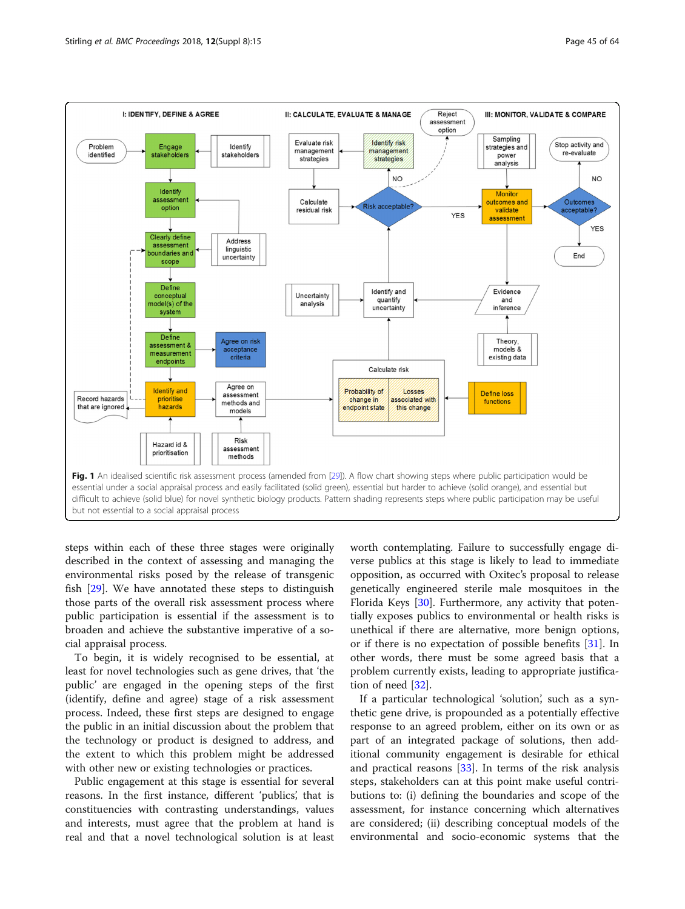<span id="page-2-0"></span>

steps within each of these three stages were originally described in the context of assessing and managing the environmental risks posed by the release of transgenic fish [[29](#page-7-0)]. We have annotated these steps to distinguish those parts of the overall risk assessment process where public participation is essential if the assessment is to broaden and achieve the substantive imperative of a social appraisal process.

To begin, it is widely recognised to be essential, at least for novel technologies such as gene drives, that 'the public' are engaged in the opening steps of the first (identify, define and agree) stage of a risk assessment process. Indeed, these first steps are designed to engage the public in an initial discussion about the problem that the technology or product is designed to address, and the extent to which this problem might be addressed with other new or existing technologies or practices.

Public engagement at this stage is essential for several reasons. In the first instance, different 'publics', that is constituencies with contrasting understandings, values and interests, must agree that the problem at hand is real and that a novel technological solution is at least worth contemplating. Failure to successfully engage diverse publics at this stage is likely to lead to immediate opposition, as occurred with Oxitec's proposal to release genetically engineered sterile male mosquitoes in the Florida Keys [\[30](#page-7-0)]. Furthermore, any activity that potentially exposes publics to environmental or health risks is unethical if there are alternative, more benign options, or if there is no expectation of possible benefits [\[31](#page-7-0)]. In other words, there must be some agreed basis that a problem currently exists, leading to appropriate justification of need [\[32](#page-7-0)].

If a particular technological 'solution', such as a synthetic gene drive, is propounded as a potentially effective response to an agreed problem, either on its own or as part of an integrated package of solutions, then additional community engagement is desirable for ethical and practical reasons  $[33]$  $[33]$ . In terms of the risk analysis steps, stakeholders can at this point make useful contributions to: (i) defining the boundaries and scope of the assessment, for instance concerning which alternatives are considered; (ii) describing conceptual models of the environmental and socio-economic systems that the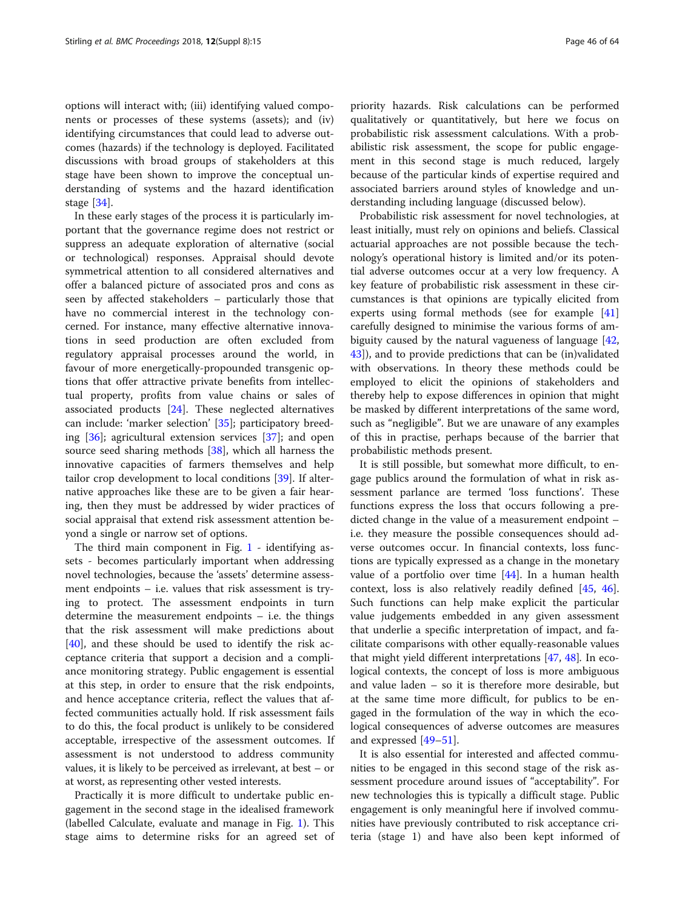options will interact with; (iii) identifying valued components or processes of these systems (assets); and (iv) identifying circumstances that could lead to adverse outcomes (hazards) if the technology is deployed. Facilitated discussions with broad groups of stakeholders at this stage have been shown to improve the conceptual understanding of systems and the hazard identification stage [\[34](#page-7-0)].

In these early stages of the process it is particularly important that the governance regime does not restrict or suppress an adequate exploration of alternative (social or technological) responses. Appraisal should devote symmetrical attention to all considered alternatives and offer a balanced picture of associated pros and cons as seen by affected stakeholders – particularly those that have no commercial interest in the technology concerned. For instance, many effective alternative innovations in seed production are often excluded from regulatory appraisal processes around the world, in favour of more energetically-propounded transgenic options that offer attractive private benefits from intellectual property, profits from value chains or sales of associated products [[24](#page-7-0)]. These neglected alternatives can include: 'marker selection' [[35\]](#page-7-0); participatory breeding [\[36\]](#page-7-0); agricultural extension services [\[37\]](#page-7-0); and open source seed sharing methods [[38](#page-7-0)], which all harness the innovative capacities of farmers themselves and help tailor crop development to local conditions [\[39](#page-7-0)]. If alternative approaches like these are to be given a fair hearing, then they must be addressed by wider practices of social appraisal that extend risk assessment attention beyond a single or narrow set of options.

The third main component in Fig. [1](#page-2-0) - identifying assets - becomes particularly important when addressing novel technologies, because the 'assets' determine assessment endpoints – i.e. values that risk assessment is trying to protect. The assessment endpoints in turn determine the measurement endpoints – i.e. the things that the risk assessment will make predictions about [[40\]](#page-7-0), and these should be used to identify the risk acceptance criteria that support a decision and a compliance monitoring strategy. Public engagement is essential at this step, in order to ensure that the risk endpoints, and hence acceptance criteria, reflect the values that affected communities actually hold. If risk assessment fails to do this, the focal product is unlikely to be considered acceptable, irrespective of the assessment outcomes. If assessment is not understood to address community values, it is likely to be perceived as irrelevant, at best – or at worst, as representing other vested interests.

Practically it is more difficult to undertake public engagement in the second stage in the idealised framework (labelled Calculate, evaluate and manage in Fig. [1\)](#page-2-0). This stage aims to determine risks for an agreed set of

priority hazards. Risk calculations can be performed qualitatively or quantitatively, but here we focus on probabilistic risk assessment calculations. With a probabilistic risk assessment, the scope for public engagement in this second stage is much reduced, largely because of the particular kinds of expertise required and associated barriers around styles of knowledge and understanding including language (discussed below).

Probabilistic risk assessment for novel technologies, at least initially, must rely on opinions and beliefs. Classical actuarial approaches are not possible because the technology's operational history is limited and/or its potential adverse outcomes occur at a very low frequency. A key feature of probabilistic risk assessment in these circumstances is that opinions are typically elicited from experts using formal methods (see for example [[41](#page-7-0)] carefully designed to minimise the various forms of ambiguity caused by the natural vagueness of language [[42](#page-7-0), [43\]](#page-7-0)), and to provide predictions that can be (in)validated with observations. In theory these methods could be employed to elicit the opinions of stakeholders and thereby help to expose differences in opinion that might be masked by different interpretations of the same word, such as "negligible". But we are unaware of any examples of this in practise, perhaps because of the barrier that probabilistic methods present.

It is still possible, but somewhat more difficult, to engage publics around the formulation of what in risk assessment parlance are termed 'loss functions'. These functions express the loss that occurs following a predicted change in the value of a measurement endpoint – i.e. they measure the possible consequences should adverse outcomes occur. In financial contexts, loss functions are typically expressed as a change in the monetary value of a portfolio over time [\[44\]](#page-7-0). In a human health context, loss is also relatively readily defined [[45](#page-7-0), [46](#page-7-0)]. Such functions can help make explicit the particular value judgements embedded in any given assessment that underlie a specific interpretation of impact, and facilitate comparisons with other equally-reasonable values that might yield different interpretations [\[47](#page-7-0), [48](#page-7-0)]. In ecological contexts, the concept of loss is more ambiguous and value laden – so it is therefore more desirable, but at the same time more difficult, for publics to be engaged in the formulation of the way in which the ecological consequences of adverse outcomes are measures and expressed [[49](#page-7-0)–[51](#page-7-0)].

It is also essential for interested and affected communities to be engaged in this second stage of the risk assessment procedure around issues of "acceptability". For new technologies this is typically a difficult stage. Public engagement is only meaningful here if involved communities have previously contributed to risk acceptance criteria (stage 1) and have also been kept informed of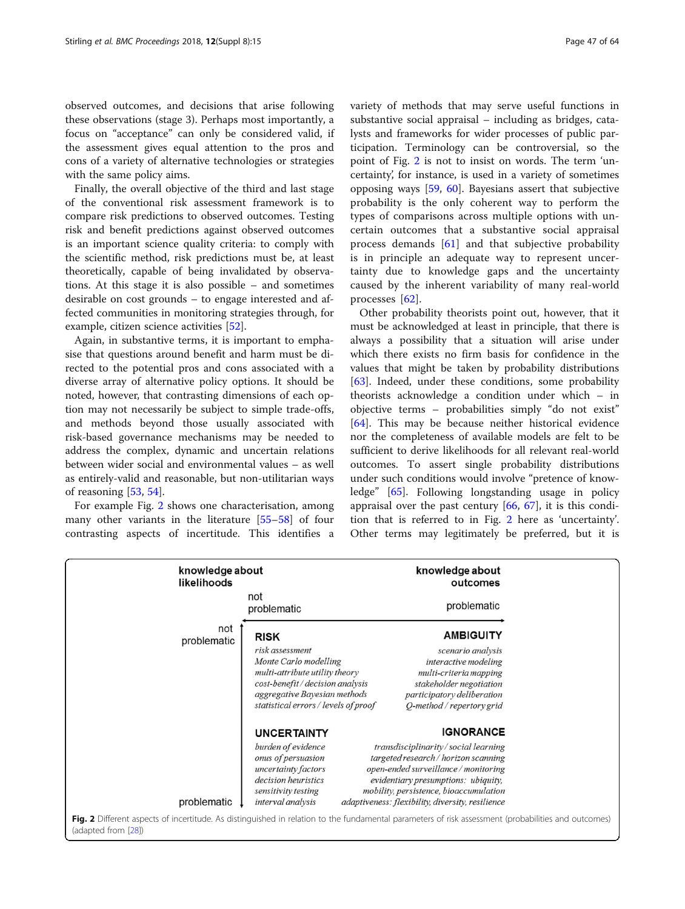<span id="page-4-0"></span>observed outcomes, and decisions that arise following these observations (stage 3). Perhaps most importantly, a focus on "acceptance" can only be considered valid, if the assessment gives equal attention to the pros and cons of a variety of alternative technologies or strategies with the same policy aims.

Finally, the overall objective of the third and last stage of the conventional risk assessment framework is to compare risk predictions to observed outcomes. Testing risk and benefit predictions against observed outcomes is an important science quality criteria: to comply with the scientific method, risk predictions must be, at least theoretically, capable of being invalidated by observations. At this stage it is also possible – and sometimes desirable on cost grounds – to engage interested and affected communities in monitoring strategies through, for example, citizen science activities [\[52](#page-7-0)].

Again, in substantive terms, it is important to emphasise that questions around benefit and harm must be directed to the potential pros and cons associated with a diverse array of alternative policy options. It should be noted, however, that contrasting dimensions of each option may not necessarily be subject to simple trade-offs, and methods beyond those usually associated with risk-based governance mechanisms may be needed to address the complex, dynamic and uncertain relations between wider social and environmental values – as well as entirely-valid and reasonable, but non-utilitarian ways of reasoning [\[53](#page-7-0), [54\]](#page-7-0).

For example Fig. 2 shows one characterisation, among many other variants in the literature [\[55](#page-8-0)–[58\]](#page-8-0) of four contrasting aspects of incertitude. This identifies a variety of methods that may serve useful functions in substantive social appraisal – including as bridges, catalysts and frameworks for wider processes of public participation. Terminology can be controversial, so the point of Fig. 2 is not to insist on words. The term 'uncertainty', for instance, is used in a variety of sometimes opposing ways [[59](#page-8-0), [60](#page-8-0)]. Bayesians assert that subjective probability is the only coherent way to perform the types of comparisons across multiple options with uncertain outcomes that a substantive social appraisal process demands [[61\]](#page-8-0) and that subjective probability is in principle an adequate way to represent uncertainty due to knowledge gaps and the uncertainty caused by the inherent variability of many real-world processes [\[62](#page-8-0)].

Other probability theorists point out, however, that it must be acknowledged at least in principle, that there is always a possibility that a situation will arise under which there exists no firm basis for confidence in the values that might be taken by probability distributions [[63\]](#page-8-0). Indeed, under these conditions, some probability theorists acknowledge a condition under which – in objective terms – probabilities simply "do not exist" [[64\]](#page-8-0). This may be because neither historical evidence nor the completeness of available models are felt to be sufficient to derive likelihoods for all relevant real-world outcomes. To assert single probability distributions under such conditions would involve "pretence of knowledge" [[65\]](#page-8-0). Following longstanding usage in policy appraisal over the past century  $[66, 67]$  $[66, 67]$  $[66, 67]$ , it is this condition that is referred to in Fig. 2 here as 'uncertainty'. Other terms may legitimately be preferred, but it is

| knowledge about<br>likelihoods |                                                                                                                                                                                                       | knowledge about<br>outcomes                                                                                                                                                                                                                                                  |
|--------------------------------|-------------------------------------------------------------------------------------------------------------------------------------------------------------------------------------------------------|------------------------------------------------------------------------------------------------------------------------------------------------------------------------------------------------------------------------------------------------------------------------------|
|                                | not<br>problematic                                                                                                                                                                                    | problematic                                                                                                                                                                                                                                                                  |
| not<br>problematic             | <b>RISK</b><br>risk assessment<br>Monte Carlo modelling<br>multi-attribute utility theory<br>cost-benefit / decision analysis<br>aggregative Bayesian methods<br>statistical errors / levels of proof | <b>AMBIGUITY</b><br>scenario analysis<br>interactive modeling<br>multi-criteria mapping<br>stakeholder negotiation<br>participatory deliberation<br>Q-method / repertory grid                                                                                                |
| problematic                    | <b>UNCERTAINTY</b><br>burden of evidence<br>onus of persuasion<br>uncertainty factors<br>decision heuristics<br>sensitivity testing<br>interval analysis                                              | <b>IGNORANCE</b><br>transdisciplinarity/social learning<br>targeted research / horizon scanning<br>open-ended surveillance / monitoring<br>evidentiary presumptions: ubiquity,<br>mobility, persistence, bioaccumulation<br>adaptiveness: flexibility, diversity, resilience |

Fig. 2 Different aspects of incertitude. As distinguished in relation to the fundamental parameters of risk assessment (probabilities and outcomes) (adapted from [\[28\]](#page-7-0))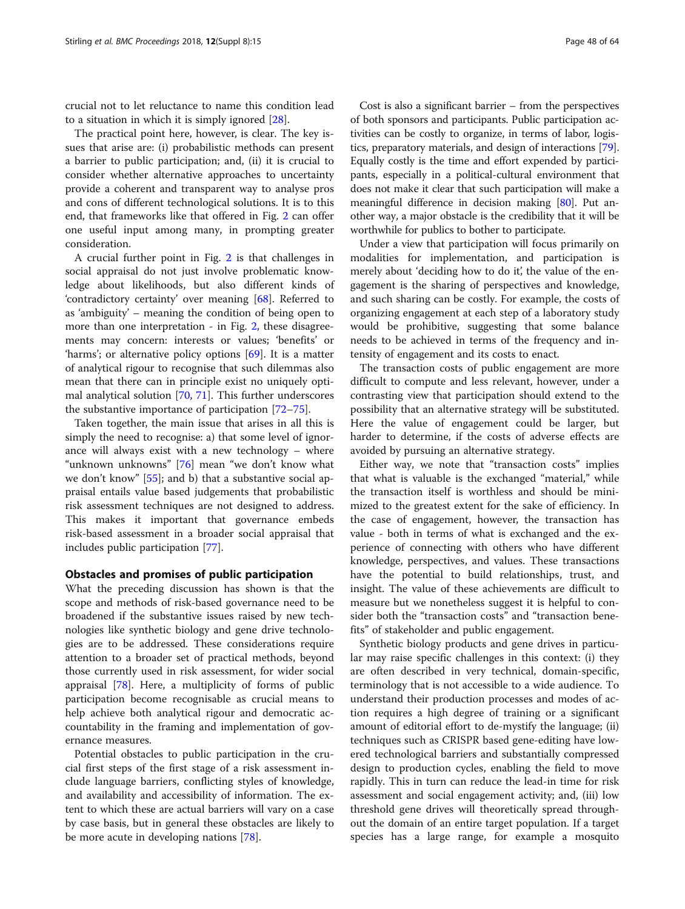crucial not to let reluctance to name this condition lead to a situation in which it is simply ignored [[28\]](#page-7-0).

The practical point here, however, is clear. The key issues that arise are: (i) probabilistic methods can present a barrier to public participation; and, (ii) it is crucial to consider whether alternative approaches to uncertainty provide a coherent and transparent way to analyse pros and cons of different technological solutions. It is to this end, that frameworks like that offered in Fig. [2](#page-4-0) can offer one useful input among many, in prompting greater consideration.

A crucial further point in Fig. [2](#page-4-0) is that challenges in social appraisal do not just involve problematic knowledge about likelihoods, but also different kinds of 'contradictory certainty' over meaning [[68\]](#page-8-0). Referred to as 'ambiguity' – meaning the condition of being open to more than one interpretation - in Fig. [2](#page-4-0), these disagreements may concern: interests or values; 'benefits' or 'harms'; or alternative policy options [\[69\]](#page-8-0). It is a matter of analytical rigour to recognise that such dilemmas also mean that there can in principle exist no uniquely optimal analytical solution [\[70](#page-8-0), [71](#page-8-0)]. This further underscores the substantive importance of participation [\[72](#page-8-0)–[75\]](#page-8-0).

Taken together, the main issue that arises in all this is simply the need to recognise: a) that some level of ignorance will always exist with a new technology – where "unknown unknowns" [\[76](#page-8-0)] mean "we don't know what we don't know" [\[55](#page-8-0)]; and b) that a substantive social appraisal entails value based judgements that probabilistic risk assessment techniques are not designed to address. This makes it important that governance embeds risk-based assessment in a broader social appraisal that includes public participation [\[77](#page-8-0)].

# Obstacles and promises of public participation

What the preceding discussion has shown is that the scope and methods of risk-based governance need to be broadened if the substantive issues raised by new technologies like synthetic biology and gene drive technologies are to be addressed. These considerations require attention to a broader set of practical methods, beyond those currently used in risk assessment, for wider social appraisal [\[78](#page-8-0)]. Here, a multiplicity of forms of public participation become recognisable as crucial means to help achieve both analytical rigour and democratic accountability in the framing and implementation of governance measures.

Potential obstacles to public participation in the crucial first steps of the first stage of a risk assessment include language barriers, conflicting styles of knowledge, and availability and accessibility of information. The extent to which these are actual barriers will vary on a case by case basis, but in general these obstacles are likely to be more acute in developing nations [\[78\]](#page-8-0).

Cost is also a significant barrier – from the perspectives of both sponsors and participants. Public participation activities can be costly to organize, in terms of labor, logistics, preparatory materials, and design of interactions [[79](#page-8-0)]. Equally costly is the time and effort expended by participants, especially in a political-cultural environment that does not make it clear that such participation will make a meaningful difference in decision making [\[80\]](#page-8-0). Put another way, a major obstacle is the credibility that it will be worthwhile for publics to bother to participate.

Under a view that participation will focus primarily on modalities for implementation, and participation is merely about 'deciding how to do it', the value of the engagement is the sharing of perspectives and knowledge, and such sharing can be costly. For example, the costs of organizing engagement at each step of a laboratory study would be prohibitive, suggesting that some balance needs to be achieved in terms of the frequency and intensity of engagement and its costs to enact.

The transaction costs of public engagement are more difficult to compute and less relevant, however, under a contrasting view that participation should extend to the possibility that an alternative strategy will be substituted. Here the value of engagement could be larger, but harder to determine, if the costs of adverse effects are avoided by pursuing an alternative strategy.

Either way, we note that "transaction costs" implies that what is valuable is the exchanged "material," while the transaction itself is worthless and should be minimized to the greatest extent for the sake of efficiency. In the case of engagement, however, the transaction has value - both in terms of what is exchanged and the experience of connecting with others who have different knowledge, perspectives, and values. These transactions have the potential to build relationships, trust, and insight. The value of these achievements are difficult to measure but we nonetheless suggest it is helpful to consider both the "transaction costs" and "transaction benefits" of stakeholder and public engagement.

Synthetic biology products and gene drives in particular may raise specific challenges in this context: (i) they are often described in very technical, domain-specific, terminology that is not accessible to a wide audience. To understand their production processes and modes of action requires a high degree of training or a significant amount of editorial effort to de-mystify the language; (ii) techniques such as CRISPR based gene-editing have lowered technological barriers and substantially compressed design to production cycles, enabling the field to move rapidly. This in turn can reduce the lead-in time for risk assessment and social engagement activity; and, (iii) low threshold gene drives will theoretically spread throughout the domain of an entire target population. If a target species has a large range, for example a mosquito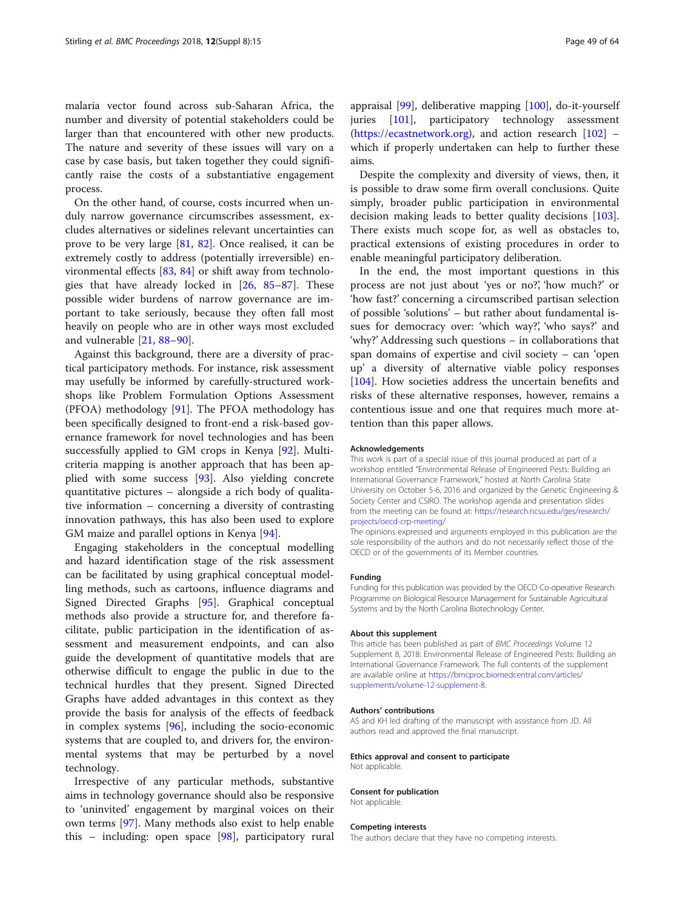malaria vector found across sub-Saharan Africa, the number and diversity of potential stakeholders could be larger than that encountered with other new products. The nature and severity of these issues will vary on a case by case basis, but taken together they could significantly raise the costs of a substantiative engagement process.

On the other hand, of course, costs incurred when unduly narrow governance circumscribes assessment, excludes alternatives or sidelines relevant uncertainties can prove to be very large [\[81](#page-8-0), [82\]](#page-8-0). Once realised, it can be extremely costly to address (potentially irreversible) environmental effects [[83](#page-8-0), [84](#page-8-0)] or shift away from technologies that have already locked in  $[26, 85-87]$  $[26, 85-87]$  $[26, 85-87]$  $[26, 85-87]$  $[26, 85-87]$  $[26, 85-87]$ . These possible wider burdens of narrow governance are important to take seriously, because they often fall most heavily on people who are in other ways most excluded and vulnerable [\[21,](#page-7-0) [88](#page-8-0)–[90\]](#page-8-0).

Against this background, there are a diversity of practical participatory methods. For instance, risk assessment may usefully be informed by carefully-structured workshops like Problem Formulation Options Assessment (PFOA) methodology [\[91](#page-8-0)]. The PFOA methodology has been specifically designed to front-end a risk-based governance framework for novel technologies and has been successfully applied to GM crops in Kenya [\[92\]](#page-8-0). Multicriteria mapping is another approach that has been applied with some success [[93](#page-8-0)]. Also yielding concrete quantitative pictures – alongside a rich body of qualitative information – concerning a diversity of contrasting innovation pathways, this has also been used to explore GM maize and parallel options in Kenya [[94\]](#page-8-0).

Engaging stakeholders in the conceptual modelling and hazard identification stage of the risk assessment can be facilitated by using graphical conceptual modelling methods, such as cartoons, influence diagrams and Signed Directed Graphs [[95](#page-8-0)]. Graphical conceptual methods also provide a structure for, and therefore facilitate, public participation in the identification of assessment and measurement endpoints, and can also guide the development of quantitative models that are otherwise difficult to engage the public in due to the technical hurdles that they present. Signed Directed Graphs have added advantages in this context as they provide the basis for analysis of the effects of feedback in complex systems [\[96\]](#page-8-0), including the socio-economic systems that are coupled to, and drivers for, the environmental systems that may be perturbed by a novel technology.

Irrespective of any particular methods, substantive aims in technology governance should also be responsive to 'uninvited' engagement by marginal voices on their own terms [\[97\]](#page-8-0). Many methods also exist to help enable this – including: open space [\[98](#page-8-0)], participatory rural

appraisal [[99\]](#page-8-0), deliberative mapping [[100](#page-8-0)], do-it-yourself juries [[101](#page-8-0)], participatory technology assessment ([https://ecastnetwork.org\)](https://ecastnetwork.org), and action research [[102\]](#page-8-0) – which if properly undertaken can help to further these aims.

Despite the complexity and diversity of views, then, it is possible to draw some firm overall conclusions. Quite simply, broader public participation in environmental decision making leads to better quality decisions [[103](#page-8-0)]. There exists much scope for, as well as obstacles to, practical extensions of existing procedures in order to enable meaningful participatory deliberation.

In the end, the most important questions in this process are not just about 'yes or no?', 'how much?' or 'how fast?' concerning a circumscribed partisan selection of possible 'solutions' – but rather about fundamental issues for democracy over: 'which way?', 'who says?' and 'why?' Addressing such questions – in collaborations that span domains of expertise and civil society – can 'open up' a diversity of alternative viable policy responses [[104\]](#page-8-0). How societies address the uncertain benefits and risks of these alternative responses, however, remains a contentious issue and one that requires much more attention than this paper allows.

#### Acknowledgements

This work is part of a special issue of this journal produced as part of a workshop entitled "Environmental Release of Engineered Pests: Building an International Governance Framework," hosted at North Carolina State University on October 5-6, 2016 and organized by the Genetic Engineering & Society Center and CSIRO. The workshop agenda and presentation slides from the meeting can be found at: [https://research.ncsu.edu/ges/research/](https://research.ncsu.edu/ges/research/projects/oecd-crp-meeting/) [projects/oecd-crp-meeting/](https://research.ncsu.edu/ges/research/projects/oecd-crp-meeting/)

The opinions expressed and arguments employed in this publication are the sole responsibility of the authors and do not necessarily reflect those of the OECD or of the governments of its Member countries.

#### Funding

Funding for this publication was provided by the OECD Co-operative Research Programme on Biological Resource Management for Sustainable Agricultural Systems and by the North Carolina Biotechnology Center.

#### About this supplement

This article has been published as part of BMC Proceedings Volume 12 Supplement 8, 2018: Environmental Release of Engineered Pests: Building an International Governance Framework. The full contents of the supplement are available online at [https://bmcproc.biomedcentral.com/articles/](https://bmcproc.biomedcentral.com/articles/supplements/volume-12-supplement-8) [supplements/volume-12-supplement-8.](https://bmcproc.biomedcentral.com/articles/supplements/volume-12-supplement-8)

#### Authors' contributions

AS and KH led drafting of the manuscript with assistance from JD. All authors read and approved the final manuscript.

## Ethics approval and consent to participate

Not applicable.

#### Consent for publication

Not applicable.

#### Competing interests

The authors declare that they have no competing interests.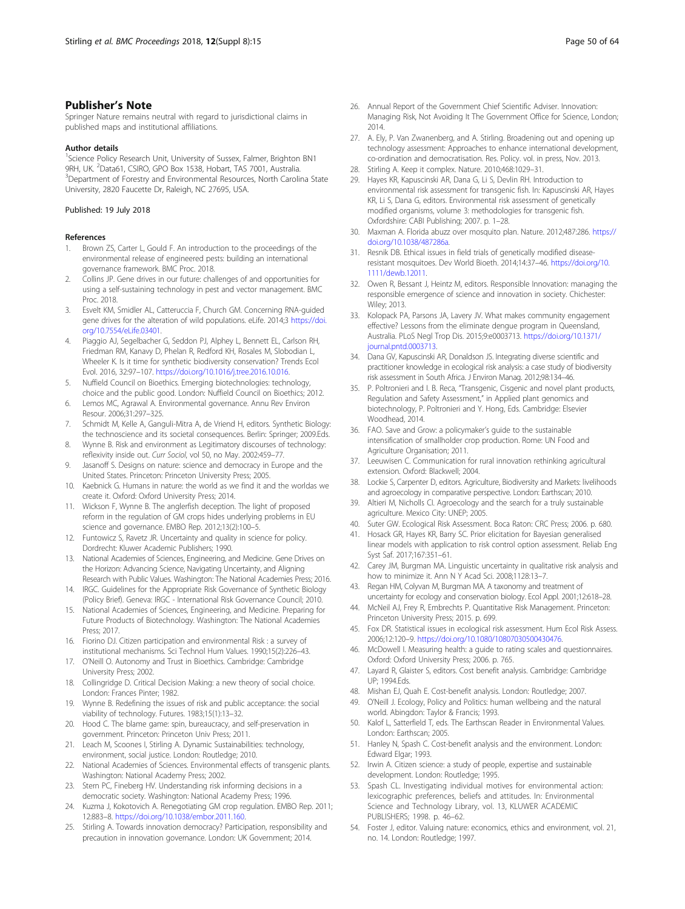# <span id="page-7-0"></span>Publisher's Note

Springer Nature remains neutral with regard to jurisdictional claims in published maps and institutional affiliations.

#### Author details

<sup>1</sup>Science Policy Research Unit, University of Sussex, Falmer, Brighton BN1 9RH, UK. <sup>2</sup>Data61, CSIRO, GPO Box 1538, Hobart, TAS 7001, Australia.<br><sup>3</sup>Department of Eorestry and Environmental Besources, North Caroli <sup>3</sup>Department of Forestry and Environmental Resources, North Carolina State University, 2820 Faucette Dr, Raleigh, NC 27695, USA.

# Published: 19 July 2018

### References

- Brown ZS, Carter L, Gould F. An introduction to the proceedings of the environmental release of engineered pests: building an international governance framework. BMC Proc. 2018.
- 2. Collins JP. Gene drives in our future: challenges of and opportunities for using a self-sustaining technology in pest and vector management. BMC Proc. 2018.
- 3. Esvelt KM, Smidler AL, Catteruccia F, Church GM. Concerning RNA-guided gene drives for the alteration of wild populations. eLife. 2014;3 [https://doi.](https://doi.org/10.7554/eLife.03401) [org/10.7554/eLife.03401.](https://doi.org/10.7554/eLife.03401)
- 4. Piaggio AJ, Segelbacher G, Seddon PJ, Alphey L, Bennett EL, Carlson RH, Friedman RM, Kanavy D, Phelan R, Redford KH, Rosales M, Slobodian L, Wheeler K. Is it time for synthetic biodiversity conservation? Trends Ecol Evol. 2016, 32:97–107. [https://doi.org/10.1016/j.tree.2016.10.016.](https://doi.org/10.1016/j.tree.2016.10.016)
- 5. Nuffield Council on Bioethics. Emerging biotechnologies: technology, choice and the public good. London: Nuffield Council on Bioethics; 2012.
- 6. Lemos MC, Agrawal A. Environmental governance. Annu Rev Environ Resour. 2006;31:297–325.
- 7. Schmidt M, Kelle A, Ganguli-Mitra A, de Vriend H, editors. Synthetic Biology: the technoscience and its societal consequences. Berlin: Springer; 2009.Eds.
- 8. Wynne B. Risk and environment as Legitimatory discourses of technology: reflexivity inside out. Curr Sociol, vol 50, no May. 2002:459–77.
- 9. Jasanoff S. Designs on nature: science and democracy in Europe and the United States. Princeton: Princeton University Press; 2005.
- 10. Kaebnick G. Humans in nature: the world as we find it and the worldas we create it. Oxford: Oxford University Press; 2014.
- 11. Wickson F, Wynne B. The anglerfish deception. The light of proposed reform in the regulation of GM crops hides underlying problems in EU science and governance. EMBO Rep. 2012;13(2):100–5.
- 12. Funtowicz S, Ravetz JR. Uncertainty and quality in science for policy. Dordrecht: Kluwer Academic Publishers; 1990.
- 13. National Academies of Sciences, Engineering, and Medicine. Gene Drives on the Horizon: Advancing Science, Navigating Uncertainty, and Aligning Research with Public Values. Washington: The National Academies Press; 2016.
- 14. IRGC. Guidelines for the Appropriate Risk Governance of Synthetic Biology (Policy Brief). Geneva: IRGC - International Risk Governance Council; 2010.
- 15. National Academies of Sciences, Engineering, and Medicine. Preparing for Future Products of Biotechnology. Washington: The National Academies Press; 2017.
- 16. Fiorino DJ. Citizen participation and environmental Risk : a survey of institutional mechanisms. Sci Technol Hum Values. 1990;15(2):226–43.
- 17. O'Neill O. Autonomy and Trust in Bioethics. Cambridge: Cambridge University Press; 2002.
- 18. Collingridge D. Critical Decision Making: a new theory of social choice. London: Frances Pinter; 1982.
- 19. Wynne B. Redefining the issues of risk and public acceptance: the social viability of technology. Futures. 1983;15(1):13–32.
- 20. Hood C. The blame game: spin, bureaucracy, and self-preservation in government. Princeton: Princeton Univ Press; 2011.
- 21. Leach M, Scoones I, Stirling A. Dynamic Sustainabilities: technology, environment, social justice. London: Routledge; 2010.
- 22. National Academies of Sciences. Environmental effects of transgenic plants. Washington: National Academy Press; 2002.
- 23. Stern PC, Fineberg HV. Understanding risk informing decisions in a democratic society. Washington: National Academy Press; 1996.
- 24. Kuzma J, Kokotovich A. Renegotiating GM crop regulation. EMBO Rep. 2011; 12:883–8. [https://doi.org/10.1038/embor.2011.160.](https://doi.org/10.1038/embor.2011.160)
- 25. Stirling A. Towards innovation democracy? Participation, responsibility and precaution in innovation governance. London: UK Government; 2014.
- 26. Annual Report of the Government Chief Scientific Adviser. Innovation: Managing Risk, Not Avoiding It The Government Office for Science, London; 2014.
- 27. A. Ely, P. Van Zwanenberg, and A. Stirling. Broadening out and opening up technology assessment: Approaches to enhance international development, co-ordination and democratisation. Res. Policy. vol. in press, Nov. 2013.
- 28. Stirling A. Keep it complex. Nature. 2010;468:1029–31.
- 29. Hayes KR, Kapuscinski AR, Dana G, Li S, Devlin RH. Introduction to environmental risk assessment for transgenic fish. In: Kapuscinski AR, Hayes KR, Li S, Dana G, editors. Environmental risk assessment of genetically modified organisms, volume 3: methodologies for transgenic fish. Oxfordshire: CABI Publishing; 2007. p. 1–28.
- 30. Maxman A. Florida abuzz over mosquito plan. Nature. 2012;487:286. [https://](https://doi.org/10.1038/487286a) [doi.org/10.1038/487286a.](https://doi.org/10.1038/487286a)
- 31. Resnik DB. Ethical issues in field trials of genetically modified diseaseresistant mosquitoes. Dev World Bioeth. 2014;14:37–46. [https://doi.org/10.](https://doi.org/10.1111/dewb.12011) [1111/dewb.12011](https://doi.org/10.1111/dewb.12011).
- 32. Owen R, Bessant J, Heintz M, editors. Responsible Innovation: managing the responsible emergence of science and innovation in society. Chichester: Wiley; 2013.
- 33. Kolopack PA, Parsons JA, Lavery JV. What makes community engagement effective? Lessons from the eliminate dengue program in Queensland, Australia. PLoS Negl Trop Dis. 2015;9:e0003713. [https://doi.org/10.1371/](https://doi.org/10.1371/journal.pntd.0003713) [journal.pntd.0003713](https://doi.org/10.1371/journal.pntd.0003713).
- 34. Dana GV, Kapuscinski AR, Donaldson JS. Integrating diverse scientific and practitioner knowledge in ecological risk analysis: a case study of biodiversity risk assessment in South Africa. J Environ Manag. 2012;98:134–46.
- 35. P. Poltronieri and I. B. Reca, "Transgenic, Cisgenic and novel plant products, Regulation and Safety Assessment," in Applied plant genomics and biotechnology, P. Poltronieri and Y. Hong, Eds. Cambridge: Elsevier Woodhead, 2014
- 36. FAO. Save and Grow: a policymaker's guide to the sustainable intensification of smallholder crop production. Rome: UN Food and Agriculture Organisation; 2011.
- 37. Leeuwisen C. Communication for rural innovation rethinking agricultural extension. Oxford: Blackwell; 2004.
- 38. Lockie S, Carpenter D, editors. Agriculture, Biodiversity and Markets: livelihoods and agroecology in comparative perspective. London: Earthscan; 2010.
- Altieri M, Nicholls CI. Agroecology and the search for a truly sustainable agriculture. Mexico City: UNEP; 2005.
- 40. Suter GW. Ecological Risk Assessment. Boca Raton: CRC Press; 2006. p. 680.
- 41. Hosack GR, Hayes KR, Barry SC. Prior elicitation for Bayesian generalised linear models with application to risk control option assessment. Reliab Eng Syst Saf. 2017;167:351–61.
- 42. Carey JM, Burgman MA. Linguistic uncertainty in qualitative risk analysis and how to minimize it. Ann N Y Acad Sci. 2008;1128:13–7.
- 43. Regan HM, Colyvan M, Burgman MA. A taxonomy and treatment of uncertainty for ecology and conservation biology. Ecol Appl. 2001;12:618–28.
- 44. McNeil AJ, Frey R, Embrechts P. Quantitative Risk Management. Princeton: Princeton University Press; 2015. p. 699.
- 45. Fox DR. Statistical issues in ecological risk assessment. Hum Ecol Risk Assess. 2006;12:120–9. <https://doi.org/10.1080/10807030500430476>.
- 46. McDowell I. Measuring health: a guide to rating scales and questionnaires. Oxford: Oxford University Press; 2006. p. 765.
- 47. Layard R, Glaister S, editors. Cost benefit analysis. Cambridge: Cambridge UP; 1994.Eds.
- 48. Mishan EJ, Quah E. Cost-benefit analysis. London: Routledge; 2007.
- 49. O'Neill J. Ecology, Policy and Politics: human wellbeing and the natural world. Abingdon: Taylor & Francis; 1993.
- 50. Kalof L, Satterfield T, eds. The Earthscan Reader in Environmental Values. London: Earthscan; 2005.
- 51. Hanley N, Spash C. Cost-benefit analysis and the environment. London: Edward Elgar; 1993.
- 52. Irwin A. Citizen science: a study of people, expertise and sustainable development. London: Routledge; 1995.
- 53. Spash CL. Investigating individual motives for environmental action: lexicographic preferences, beliefs and attitudes. In: Environmental Science and Technology Library, vol. 13, KLUWER ACADEMIC PUBLISHERS; 1998. p. 46–62.
- 54. Foster J, editor. Valuing nature: economics, ethics and environment, vol. 21, no. 14. London: Routledge; 1997.